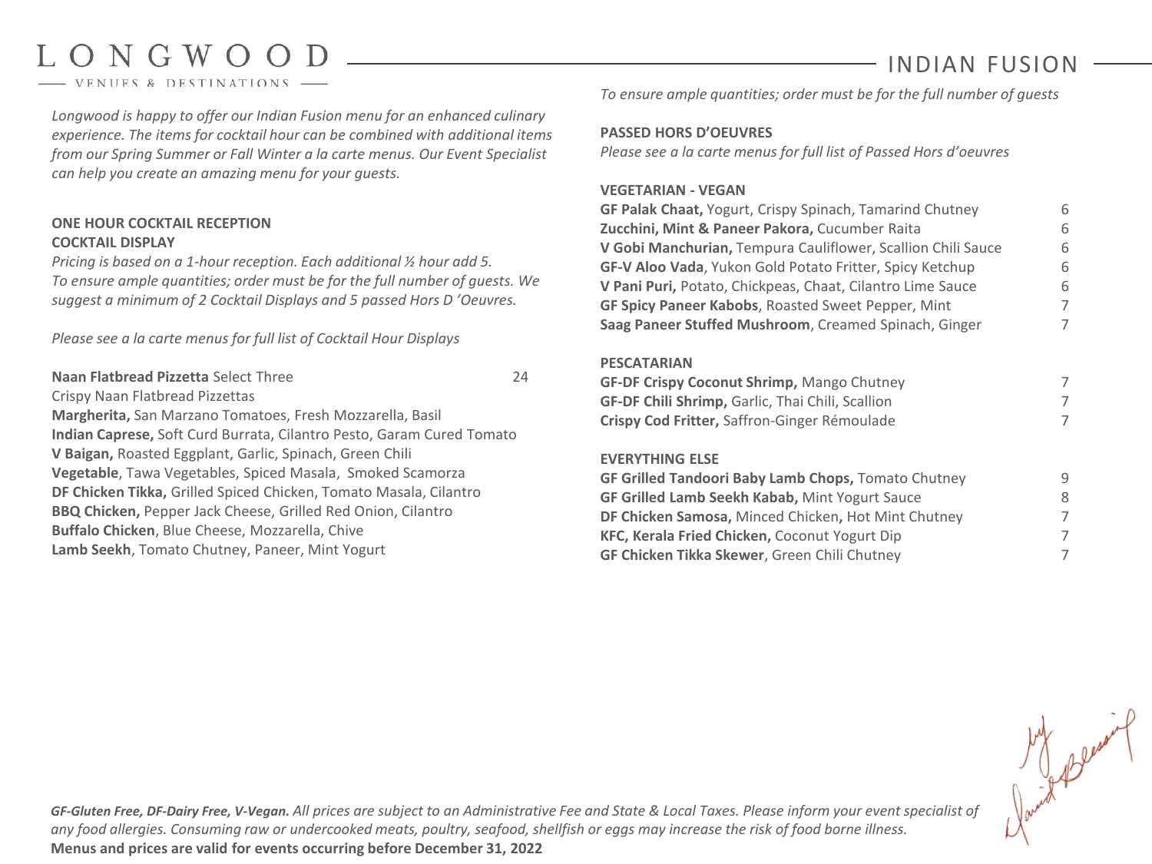# LONGWOOD

VENUES & DESTINATIONS

# INDIAN FUSION

*Longwood is happy to offer our Indian Fusion menu for an enhanced culinary experience. The items for cocktail hour can be combined with additional items from our Spring Summer or Fall Winter a la carte menus. Our Event Specialist can help you create an amazing menu for your guests.*

# **ONE HOUR COCKTAIL RECEPTION COCKTAIL DISPLAY**

*Pricing is based on a 1-hour reception. Each additional ½ hour add 5. To ensure ample quantities; order must be for the full number of guests. We suggest a minimum of 2 Cocktail Displays and 5 passed Hors D 'Oeuvres.* 

*Please see a la carte menus for full list of Cocktail Hour Displays*

**Naan Flatbread Pizzetta** Select Three 24 Crispy Naan Flatbread Pizzettas **Margherita,** San Marzano Tomatoes, Fresh Mozzarella, Basil **Indian Caprese,** Soft Curd Burrata, Cilantro Pesto, Garam Cured Tomato **V Baigan,** Roasted Eggplant, Garlic, Spinach, Green Chili **Vegetable**, Tawa Vegetables, Spiced Masala, Smoked Scamorza **DF Chicken Tikka,** Grilled Spiced Chicken, Tomato Masala, Cilantro **BBQ Chicken,** Pepper Jack Cheese, Grilled Red Onion, Cilantro **Buffalo Chicken**, Blue Cheese, Mozzarella, Chive **Lamb Seekh**, Tomato Chutney, Paneer, Mint Yogurt

*To ensure ample quantities; order must be for the full number of guests*

# **PASSED HORS D'OEUVRES**

*Please see a la carte menus for full list of Passed Hors d'oeuvres*

# **VEGETARIAN - VEGAN**

| GF Palak Chaat, Yogurt, Crispy Spinach, Tamarind Chutney        | 6 |
|-----------------------------------------------------------------|---|
| Zucchini, Mint & Paneer Pakora, Cucumber Raita                  | 6 |
| V Gobi Manchurian, Tempura Cauliflower, Scallion Chili Sauce    | 6 |
| <b>GF-V Aloo Vada, Yukon Gold Potato Fritter, Spicy Ketchup</b> | 6 |
| V Pani Puri, Potato, Chickpeas, Chaat, Cilantro Lime Sauce      | 6 |
| <b>GF Spicy Paneer Kabobs, Roasted Sweet Pepper, Mint</b>       | 7 |
| Saag Paneer Stuffed Mushroom, Creamed Spinach, Ginger           | 7 |
|                                                                 |   |

### **PESCATARIAN**

| <b>GF-DF Crispy Coconut Shrimp, Mango Chutney</b>       |  |
|---------------------------------------------------------|--|
| <b>GF-DF Chili Shrimp, Garlic, Thai Chili, Scallion</b> |  |
| Crispy Cod Fritter, Saffron-Ginger Rémoulade            |  |

# **EVERYTHING ELSE**

| GF Grilled Tandoori Baby Lamb Chops, Tomato Chutney   | q |
|-------------------------------------------------------|---|
| <b>GF Grilled Lamb Seekh Kabab, Mint Yogurt Sauce</b> | 8 |
| DF Chicken Samosa, Minced Chicken, Hot Mint Chutney   | 7 |
| KFC, Kerala Fried Chicken, Coconut Yogurt Dip         | 7 |
| <b>GF Chicken Tikka Skewer</b> , Green Chili Chutney  |   |
|                                                       |   |

*GF-Gluten Free, DF-Dairy Free, V-Vegan. All prices are subject to an Administrative Fee and State & Local Taxes. Please inform your event specialist of any food allergies. Consuming raw or undercooked meats, poultry, seafood, shellfish or eggs may increase the risk of food borne illness.* **Menus and prices are valid for events occurring before December 31, 2022**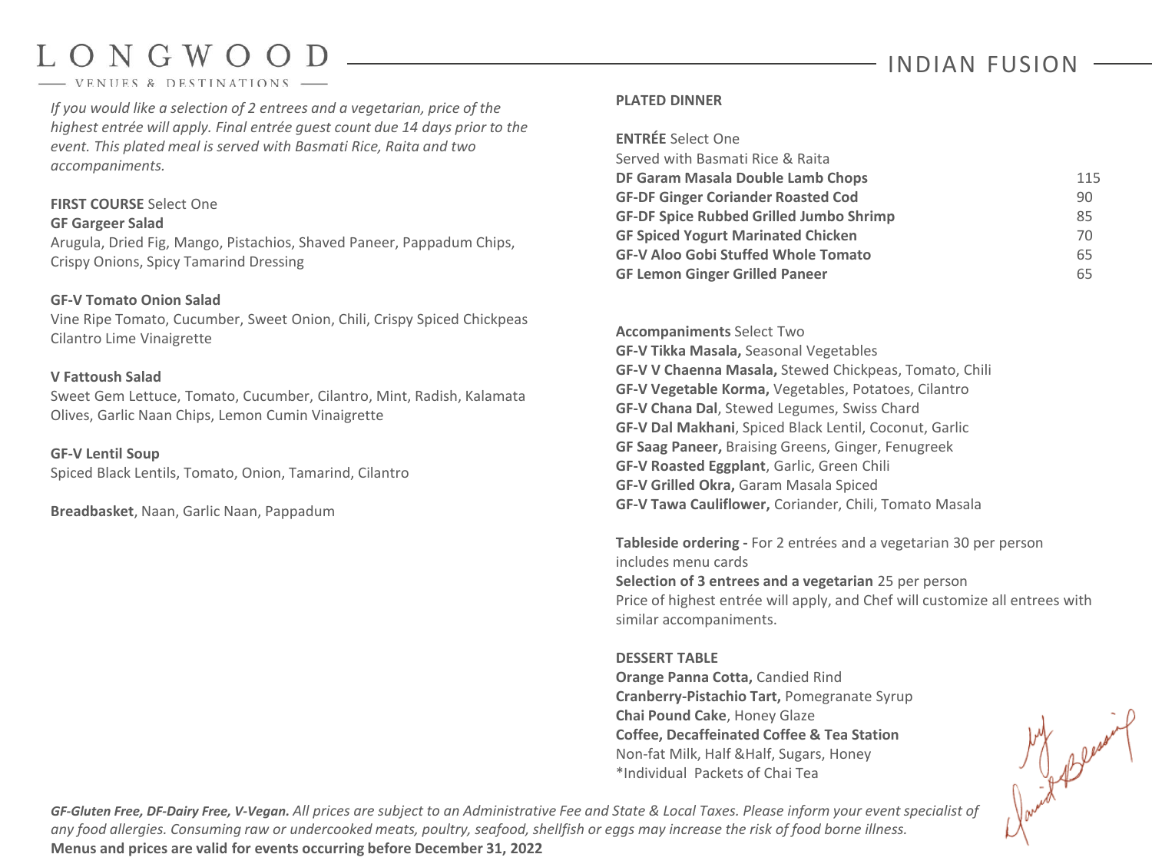# LONGWOOD

#### VENUES & DESTINATIONS

*If you would like a selection of 2 entrees and a vegetarian, price of the highest entrée will apply. Final entrée guest count due 14 days prior to the event. This plated meal is served with Basmati Rice, Raita and two accompaniments.*

#### **FIRST COURSE** Select One **GF Gargeer Salad**

Arugula, Dried Fig, Mango, Pistachios, Shaved Paneer, Pappadum Chips, Crispy Onions, Spicy Tamarind Dressing

### **GF-V Tomato Onion Salad**

Vine Ripe Tomato, Cucumber, Sweet Onion, Chili, Crispy Spiced Chickpeas Cilantro Lime Vinaigrette

### **V Fattoush Salad**

Sweet Gem Lettuce, Tomato, Cucumber, Cilantro, Mint, Radish, Kalamata Olives, Garlic Naan Chips, Lemon Cumin Vinaigrette

#### **GF-V Lentil Soup**

Spiced Black Lentils, Tomato, Onion, Tamarind, Cilantro

**Breadbasket**, Naan, Garlic Naan, Pappadum

# **PLATED DINNER**

| <b>ENTRÉE Select One</b>                       |     |
|------------------------------------------------|-----|
| Served with Basmati Rice & Raita               |     |
| DF Garam Masala Double Lamb Chops              | 115 |
| <b>GF-DF Ginger Coriander Roasted Cod</b>      | 90  |
| <b>GF-DF Spice Rubbed Grilled Jumbo Shrimp</b> | 85  |
| <b>GF Spiced Yogurt Marinated Chicken</b>      | 70  |
| <b>GF-V Aloo Gobi Stuffed Whole Tomato</b>     | 65  |
| <b>GF Lemon Ginger Grilled Paneer</b>          | 65  |

**Accompaniments** Select Two **GF-V Tikka Masala,** Seasonal Vegetables **GF-V V Chaenna Masala,** Stewed Chickpeas, Tomato, Chili **GF-V Vegetable Korma,** Vegetables, Potatoes, Cilantro **GF-V Chana Dal**, Stewed Legumes, Swiss Chard **GF-V Dal Makhani**, Spiced Black Lentil, Coconut, Garlic **GF Saag Paneer,** Braising Greens, Ginger, Fenugreek **GF-V Roasted Eggplant**, Garlic, Green Chili **GF-V Grilled Okra,** Garam Masala Spiced **GF-V Tawa Cauliflower,** Coriander, Chili, Tomato Masala

**Tableside ordering -** For 2 entrées and a vegetarian 30 per person includes menu cards **Selection of 3 entrees and a vegetarian** 25 per person Price of highest entrée will apply, and Chef will customize all entrees with similar accompaniments.

#### **DESSERT TABLE**

**Orange Panna Cotta,** Candied Rind **Cranberry-Pistachio Tart,** Pomegranate Syrup **Chai Pound Cake**, Honey Glaze **Coffee, Decaffeinated Coffee & Tea Station** Non-fat Milk, Half &Half, Sugars, Honey \*Individual Packets of Chai Tea

land Bless

*GF-Gluten Free, DF-Dairy Free, V-Vegan. All prices are subject to an Administrative Fee and State & Local Taxes. Please inform your event specialist of any food allergies. Consuming raw or undercooked meats, poultry, seafood, shellfish or eggs may increase the risk of food borne illness.* **Menus and prices are valid for events occurring before December 31, 2022**